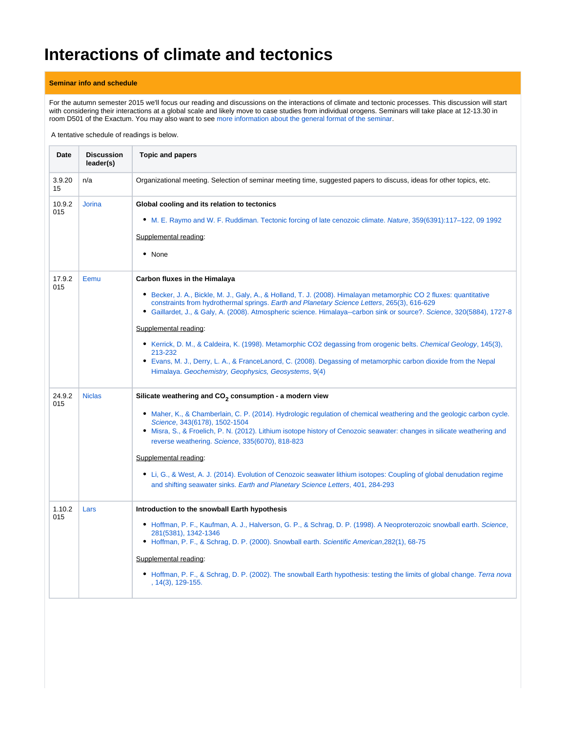## **Interactions of climate and tectonics**

## **Seminar info and schedule**

For the autumn semester 2015 we'll focus our reading and discussions on the interactions of climate and tectonic processes. This discussion will start with considering their interactions at a global scale and likely move to case studies from individual orogens. Seminars will take place at 12-13.30 in room D501 of the Exactum. You may also want to see [more information about the general format of the seminar](https://wiki.helsinki.fi/display/HUGG/Seminar+format).

A tentative schedule of readings is below.

| Date          | <b>Discussion</b><br>leader(s) | <b>Topic and papers</b>                                                                                                                                                                                                                                                                                                                                                                                                                                                                                                                                                                                                                                                                                                 |
|---------------|--------------------------------|-------------------------------------------------------------------------------------------------------------------------------------------------------------------------------------------------------------------------------------------------------------------------------------------------------------------------------------------------------------------------------------------------------------------------------------------------------------------------------------------------------------------------------------------------------------------------------------------------------------------------------------------------------------------------------------------------------------------------|
| 3.9.20<br>15  | n/a                            | Organizational meeting. Selection of seminar meeting time, suggested papers to discuss, ideas for other topics, etc.                                                                                                                                                                                                                                                                                                                                                                                                                                                                                                                                                                                                    |
| 10.9.2<br>015 | <b>Jorina</b>                  | Global cooling and its relation to tectonics<br>• M. E. Raymo and W. F. Ruddiman. Tectonic forcing of late cenozoic climate. Nature, 359(6391):117–122, 09 1992<br>Supplemental reading:<br>• None                                                                                                                                                                                                                                                                                                                                                                                                                                                                                                                      |
| 17.9.2<br>015 | Eemu                           | <b>Carbon fluxes in the Himalaya</b><br>• Becker, J. A., Bickle, M. J., Galy, A., & Holland, T. J. (2008). Himalayan metamorphic CO 2 fluxes: quantitative<br>constraints from hydrothermal springs. Earth and Planetary Science Letters, 265(3), 616-629<br>• Gaillardet, J., & Galy, A. (2008). Atmospheric science. Himalaya--carbon sink or source?. Science, 320(5884), 1727-8<br>Supplemental reading:<br>• Kerrick, D. M., & Caldeira, K. (1998). Metamorphic CO2 degassing from orogenic belts. Chemical Geology, 145(3),<br>213-232<br>• Evans, M. J., Derry, L. A., & FranceLanord, C. (2008). Degassing of metamorphic carbon dioxide from the Nepal<br>Himalaya. Geochemistry, Geophysics, Geosystems, 9(4) |
| 24.9.2<br>015 | <b>Niclas</b>                  | Silicate weathering and CO <sub>2</sub> consumption - a modern view<br>• Maher, K., & Chamberlain, C. P. (2014). Hydrologic regulation of chemical weathering and the geologic carbon cycle.<br>Science, 343(6178), 1502-1504<br>• Misra, S., & Froelich, P. N. (2012). Lithium isotope history of Cenozoic seawater: changes in silicate weathering and<br>reverse weathering. Science, 335(6070), 818-823<br>Supplemental reading:<br>• Li, G., & West, A. J. (2014). Evolution of Cenozoic seawater lithium isotopes: Coupling of global denudation regime<br>and shifting seawater sinks. Earth and Planetary Science Letters, 401, 284-293                                                                         |
| 1.10.2<br>015 | Lars                           | Introduction to the snowball Earth hypothesis<br>• Hoffman, P. F., Kaufman, A. J., Halverson, G. P., & Schrag, D. P. (1998). A Neoproterozoic snowball earth. Science,<br>281(5381), 1342-1346<br>• Hoffman, P. F., & Schrag, D. P. (2000). Snowball earth. Scientific American, 282(1), 68-75<br>Supplemental reading:<br>• Hoffman, P. F., & Schrag, D. P. (2002). The snowball Earth hypothesis: testing the limits of global change. Terra nova<br>, 14(3), 129-155.                                                                                                                                                                                                                                                |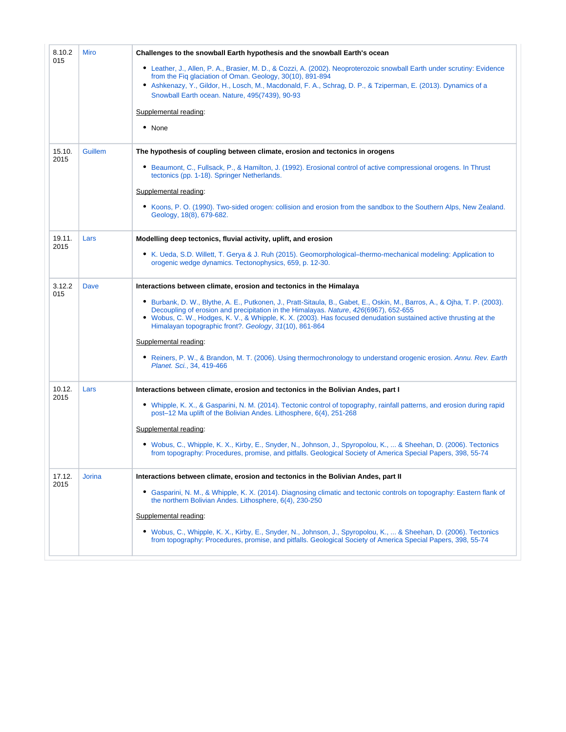| <b>Miro</b>   | Challenges to the snowball Earth hypothesis and the snowball Earth's ocean                                                                                                                                                                                                                                                                                                                      |
|---------------|-------------------------------------------------------------------------------------------------------------------------------------------------------------------------------------------------------------------------------------------------------------------------------------------------------------------------------------------------------------------------------------------------|
|               | • Leather, J., Allen, P. A., Brasier, M. D., & Cozzi, A. (2002). Neoproterozoic snowball Earth under scrutiny: Evidence<br>from the Fig glaciation of Oman. Geology, 30(10), 891-894<br>• Ashkenazy, Y., Gildor, H., Losch, M., Macdonald, F. A., Schrag, D. P., & Tziperman, E. (2013). Dynamics of a<br>Snowball Earth ocean. Nature, 495(7439), 90-93                                        |
|               | Supplemental reading:                                                                                                                                                                                                                                                                                                                                                                           |
|               | • None                                                                                                                                                                                                                                                                                                                                                                                          |
| Guillem       | The hypothesis of coupling between climate, erosion and tectonics in orogens                                                                                                                                                                                                                                                                                                                    |
|               | • Beaumont, C., Fullsack, P., & Hamilton, J. (1992). Erosional control of active compressional orogens. In Thrust<br>tectonics (pp. 1-18). Springer Netherlands.                                                                                                                                                                                                                                |
|               | Supplemental reading:                                                                                                                                                                                                                                                                                                                                                                           |
|               | • Koons, P. O. (1990). Two-sided orogen: collision and erosion from the sandbox to the Southern Alps, New Zealand.<br>Geology, 18(8), 679-682.                                                                                                                                                                                                                                                  |
| Lars          | Modelling deep tectonics, fluvial activity, uplift, and erosion                                                                                                                                                                                                                                                                                                                                 |
|               | • K. Ueda, S.D. Willett, T. Gerya & J. Ruh (2015). Geomorphological–thermo-mechanical modeling: Application to<br>orogenic wedge dynamics. Tectonophysics, 659, p. 12-30.                                                                                                                                                                                                                       |
| Dave          | Interactions between climate, erosion and tectonics in the Himalaya                                                                                                                                                                                                                                                                                                                             |
|               | • Burbank, D. W., Blythe, A. E., Putkonen, J., Pratt-Sitaula, B., Gabet, E., Oskin, M., Barros, A., & Ojha, T. P. (2003).<br>Decoupling of erosion and precipitation in the Himalayas. Nature, 426(6967), 652-655<br>• Wobus, C. W., Hodges, K. V., & Whipple, K. X. (2003). Has focused denudation sustained active thrusting at the<br>Himalayan topographic front?. Geology, 31(10), 861-864 |
|               | Supplemental reading:                                                                                                                                                                                                                                                                                                                                                                           |
|               | • Reiners, P. W., & Brandon, M. T. (2006). Using thermochronology to understand orogenic erosion. Annu. Rev. Earth<br>Planet. Sci., 34, 419-466                                                                                                                                                                                                                                                 |
| Lars          | Interactions between climate, erosion and tectonics in the Bolivian Andes, part I                                                                                                                                                                                                                                                                                                               |
|               | • Whipple, K. X., & Gasparini, N. M. (2014). Tectonic control of topography, rainfall patterns, and erosion during rapid<br>post-12 Ma uplift of the Bolivian Andes. Lithosphere, 6(4), 251-268                                                                                                                                                                                                 |
|               | Supplemental reading:                                                                                                                                                                                                                                                                                                                                                                           |
|               | • Wobus, C., Whipple, K. X., Kirby, E., Snyder, N., Johnson, J., Spyropolou, K.,  & Sheehan, D. (2006). Tectonics<br>from topography: Procedures, promise, and pitfalls. Geological Society of America Special Papers, 398, 55-74                                                                                                                                                               |
| <b>Jorina</b> | Interactions between climate, erosion and tectonics in the Bolivian Andes, part II                                                                                                                                                                                                                                                                                                              |
|               | Gasparini, N. M., & Whipple, K. X. (2014). Diagnosing climatic and tectonic controls on topography: Eastern flank of<br>٠<br>the northern Bolivian Andes. Lithosphere, 6(4), 230-250                                                                                                                                                                                                            |
|               | Supplemental reading:                                                                                                                                                                                                                                                                                                                                                                           |
|               | • Wobus, C., Whipple, K. X., Kirby, E., Snyder, N., Johnson, J., Spyropolou, K.,  & Sheehan, D. (2006). Tectonics<br>from topography: Procedures, promise, and pitfalls. Geological Society of America Special Papers, 398, 55-74                                                                                                                                                               |
|               |                                                                                                                                                                                                                                                                                                                                                                                                 |